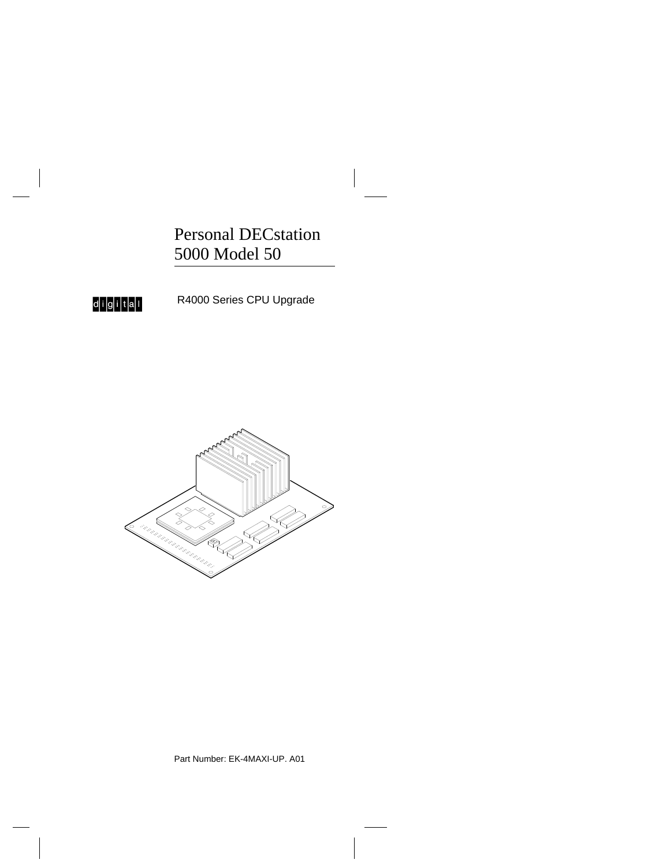Personal DECstation 5000 Model 50



R4000 Series CPU Upgrade



Part Number: EK-4MAXI-UP. A01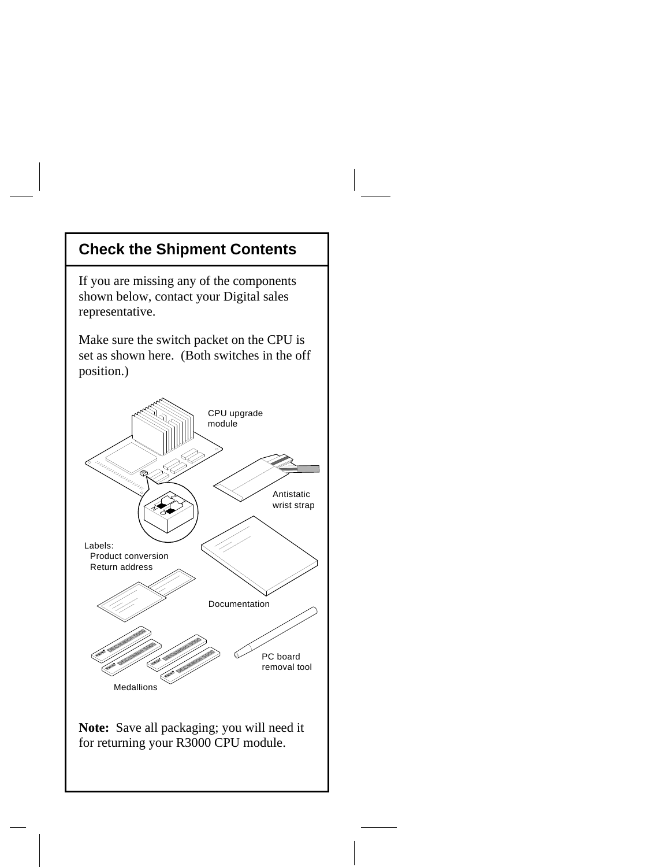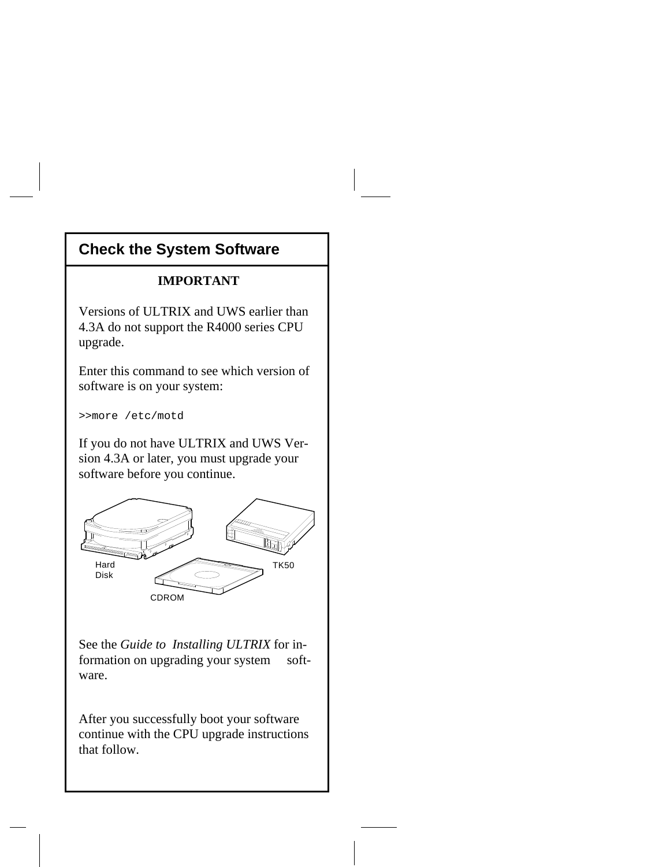# **Check the System Software**

#### **IMPORTANT**

Versions of ULTRIX and UWS earlier than 4.3A do not support the R4000 series CPU upgrade.

Enter this command to see which version of software is on your system:

>>more /etc/motd

If you do not have ULTRIX and UWS Version 4.3A or later, you must upgrade your software before you continue.



See the *Guide to Installing ULTRIX* for information on upgrading your system software.

After you successfully boot your software continue with the CPU upgrade instructions that follow.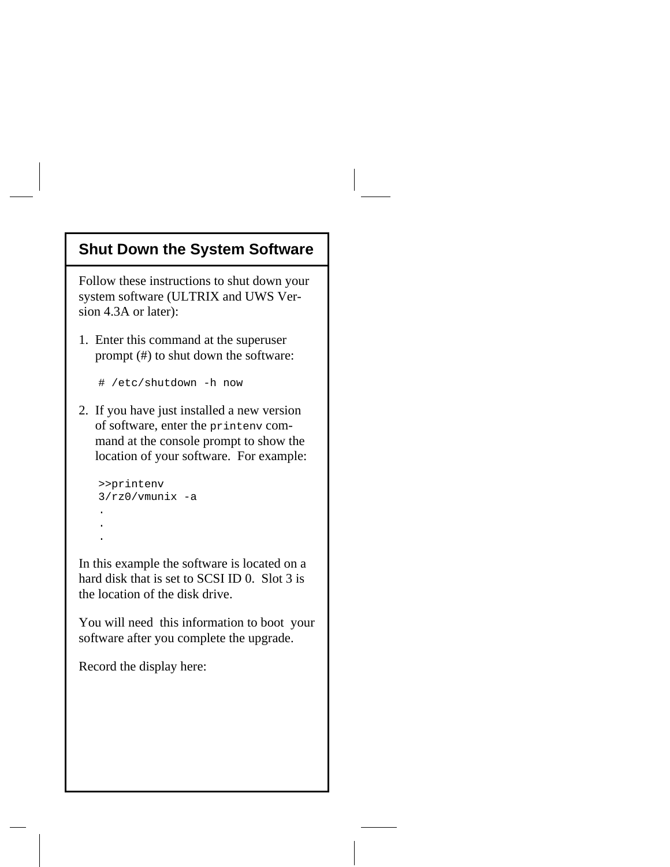#### **Shut Down the System Software**

Follow these instructions to shut down your system software (ULTRIX and UWS Version 4.3A or later):

1. Enter this command at the superuser prompt (#) to shut down the software:

```
 # /etc/shutdown -h now
```
2. If you have just installed a new version of software, enter the printenv com mand at the console prompt to show the location of your software. For example:

```
 >>printenv
   3/rz0/vmunix -a
.
   .
   .
```
In this example the software is located on a hard disk that is set to SCSI ID 0. Slot 3 is the location of the disk drive.

You will need this information to boot your software after you complete the upgrade.

Record the display here: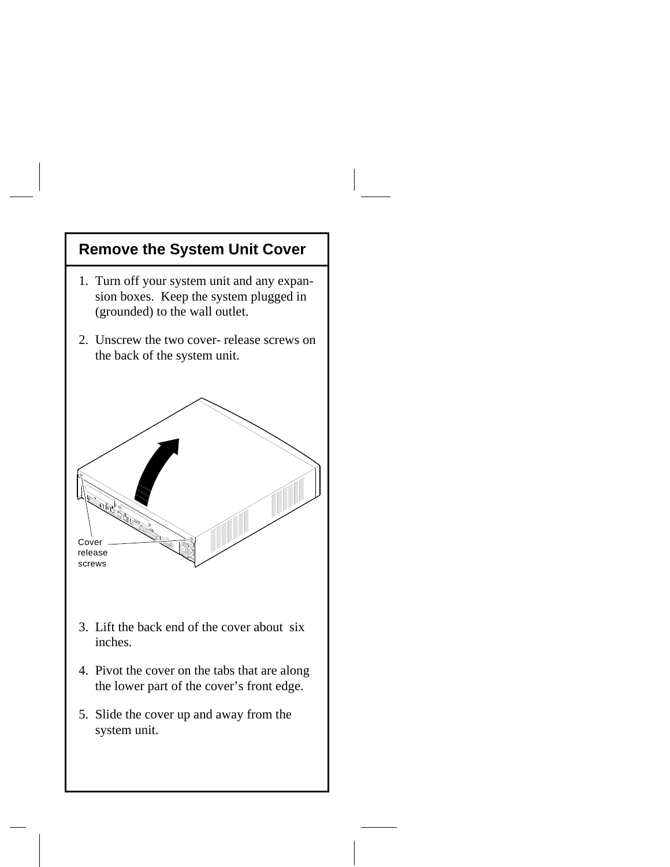### **Remove the System Unit Cover**

- 1. Turn off your system unit and any expan sion boxes. Keep the system plugged in (grounded) to the wall outlet.
- 2. Unscrew the two cover-release screws on the back of the system unit.



- 3. Lift the back end of the cover about six inches.
- 4. Pivot the cover on the tabs that are along the lower part of the cover's front edge.
- 5. Slide the cover up and away from the system unit.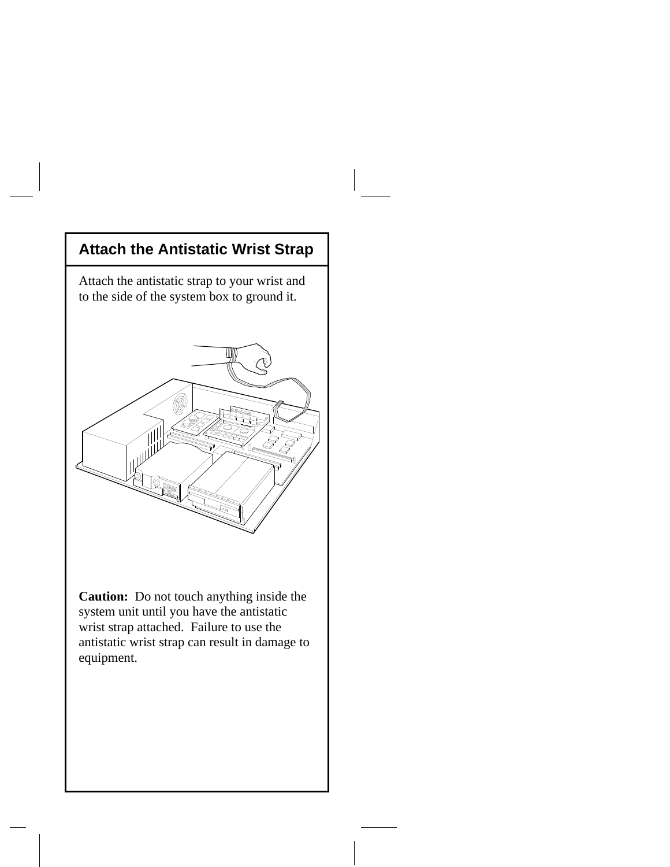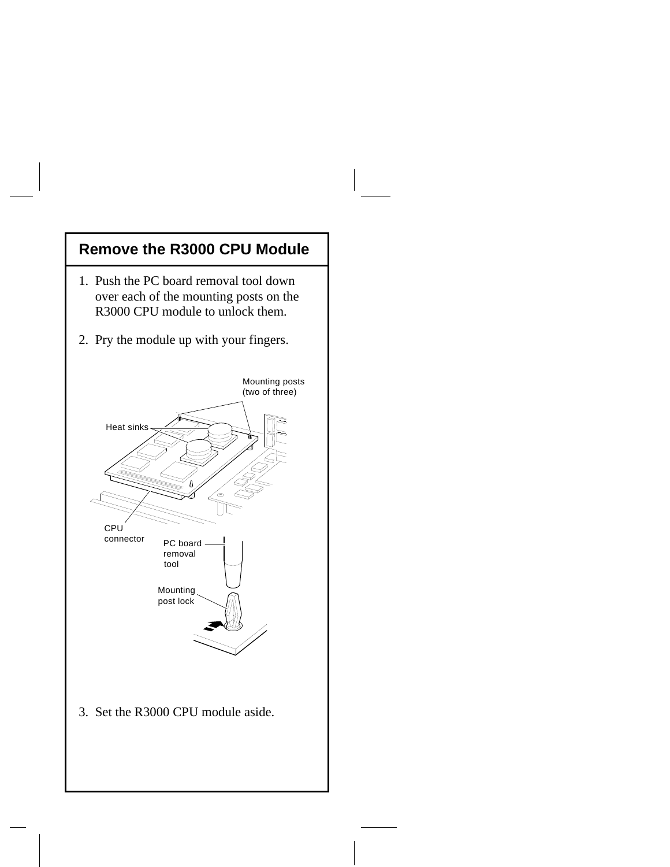## **Remove the R3000 CPU Module**

- 1. Push the PC board removal tool down over each of the mounting posts on the R3000 CPU module to unlock them.
- 2. Pry the module up with your fingers.

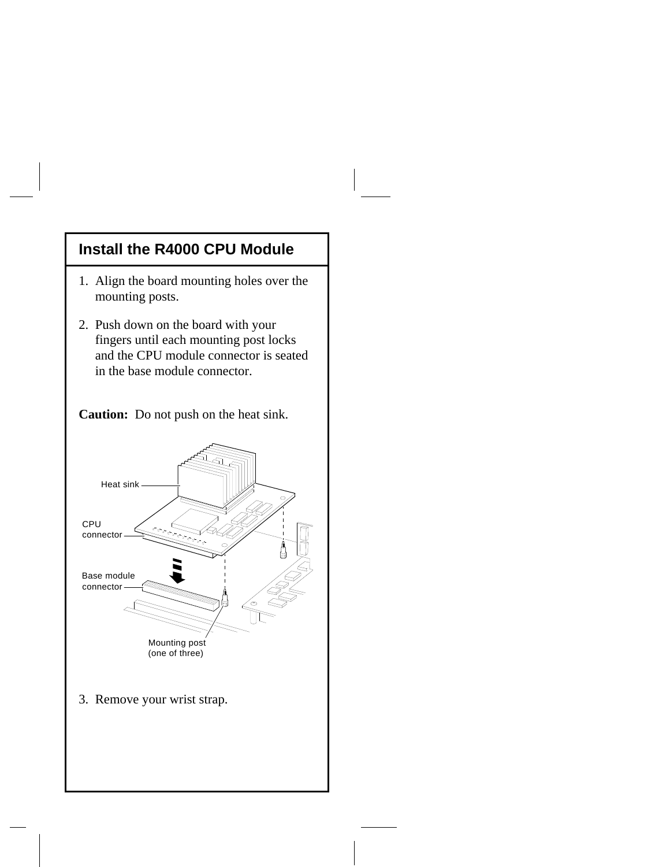#### **Install the R4000 CPU Module**

- 1. Align the board mounting holes over the mounting posts.
- 2. Push down on the board with your fingers until each mounting post locks and the CPU module connector is seated in the base module connector.

**Caution:** Do not push on the heat sink.

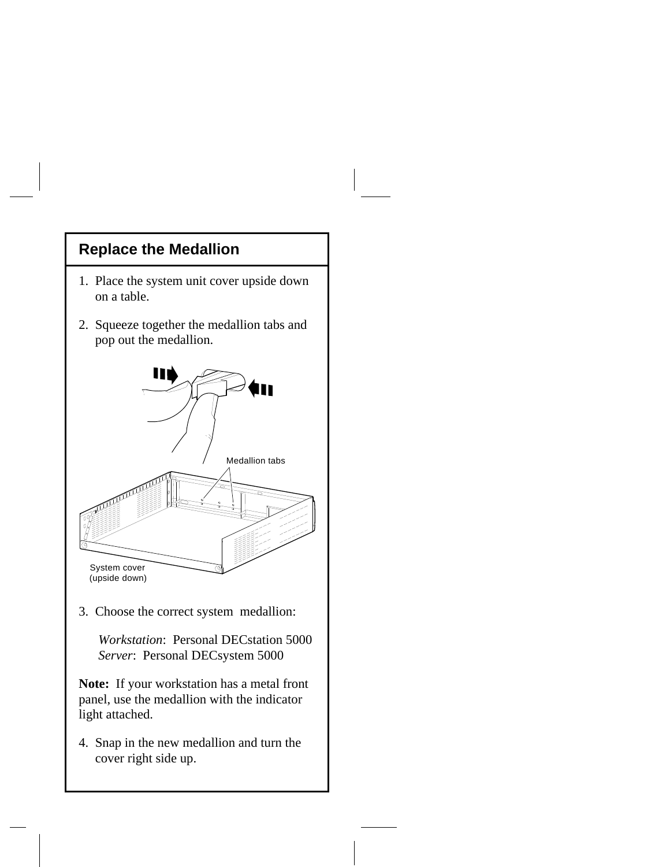### **Replace the Medallion**

- 1. Place the system unit cover upside down on a table.
- 2. Squeeze together the medallion tabs and pop out the medallion.



3. Choose the correct system medallion:

 *Workstation*: Personal DECstation 5000  *Server*: Personal DECsystem 5000

**Note:** If your workstation has a metal front panel, use the medallion with the indicator light attached.

4. Snap in the new medallion and turn the cover right side up.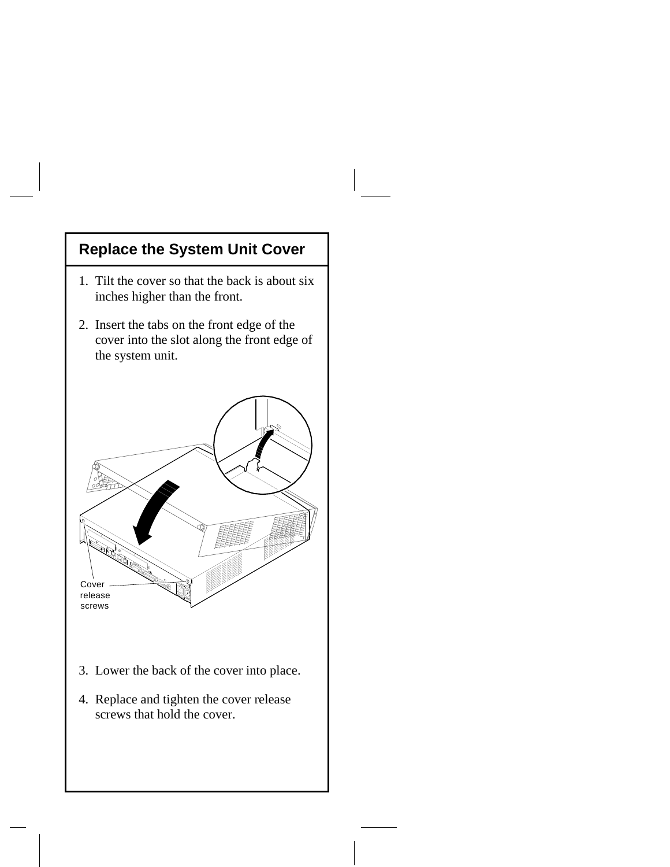## **Replace the System Unit Cover**

- 1. Tilt the cover so that the back is about six inches higher than the front.
- 2. Insert the tabs on the front edge of the cover into the slot along the front edge of the system unit.



- 3. Lower the back of the cover into place.
- 4. Replace and tighten the cover release screws that hold the cover.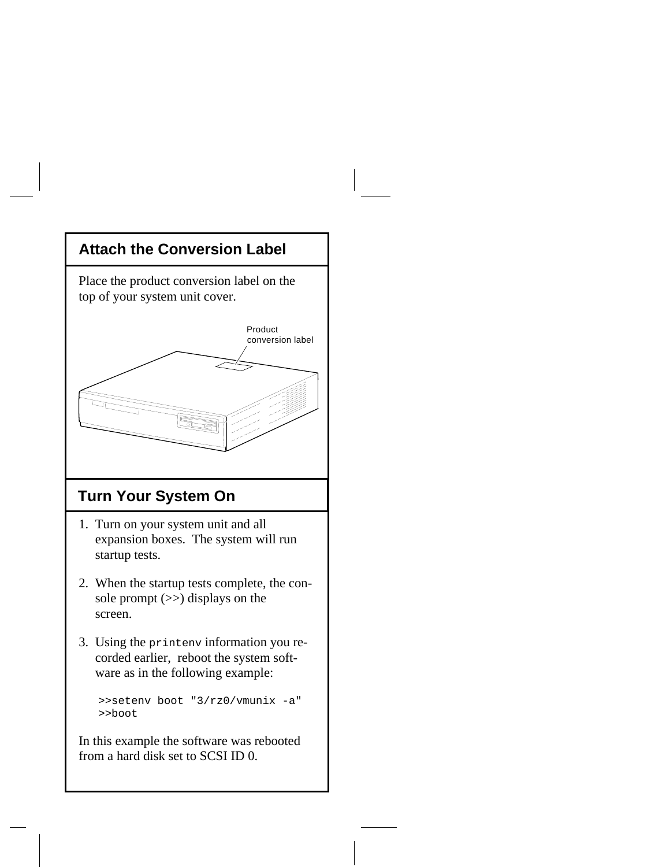